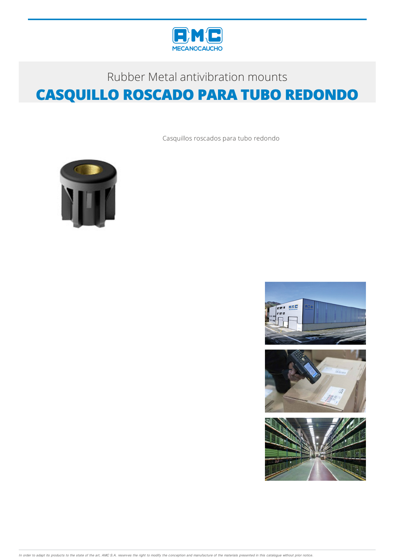

## Rubber Metal antivibration mounts **CASQUILLO ROSCADO PARA TUBO REDONDO**

Casquillos roscados para tubo redondo